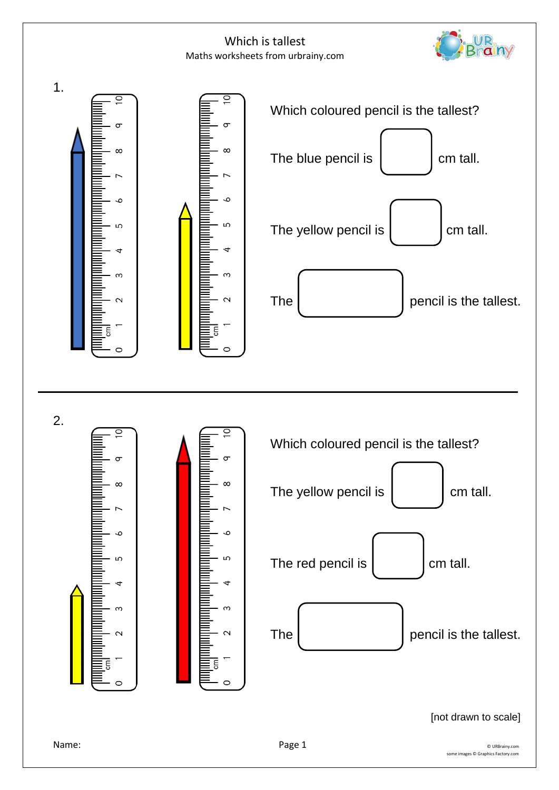

 $\infty$ 

 $\sim$ 

 $\circ$ 

ന

 $\sim$ 

 $\circ$ 

UR<br>Brainy

[not drawn to scale]

The **pencil is the tallest.**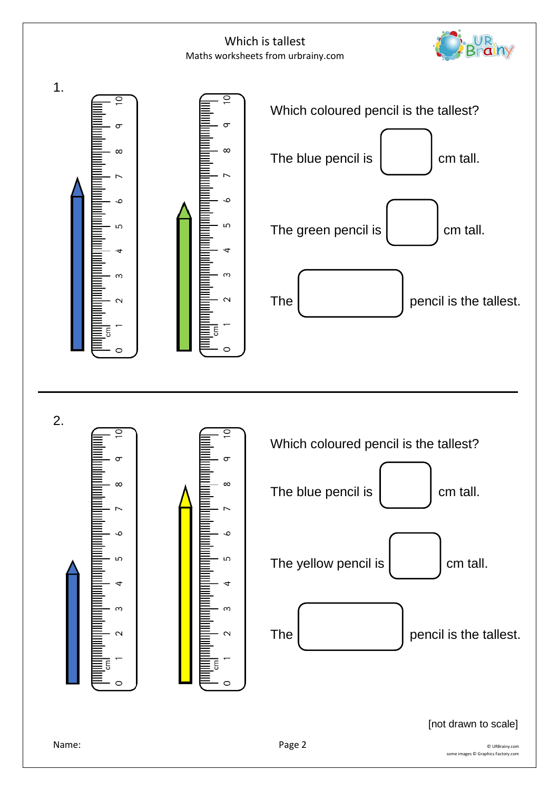

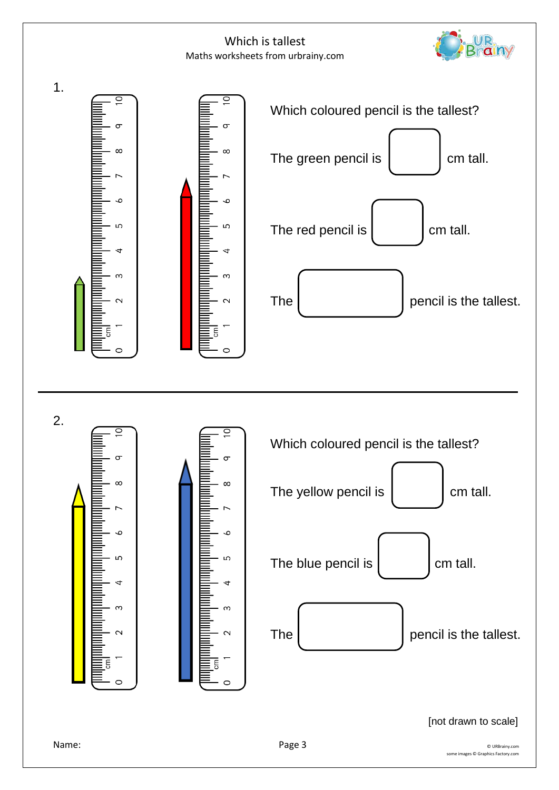